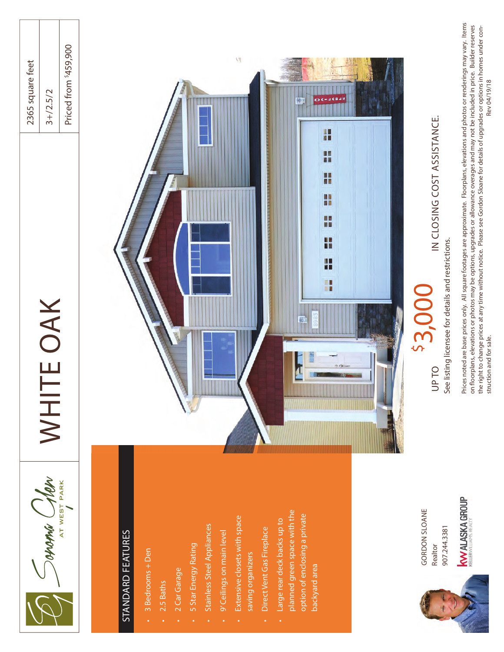